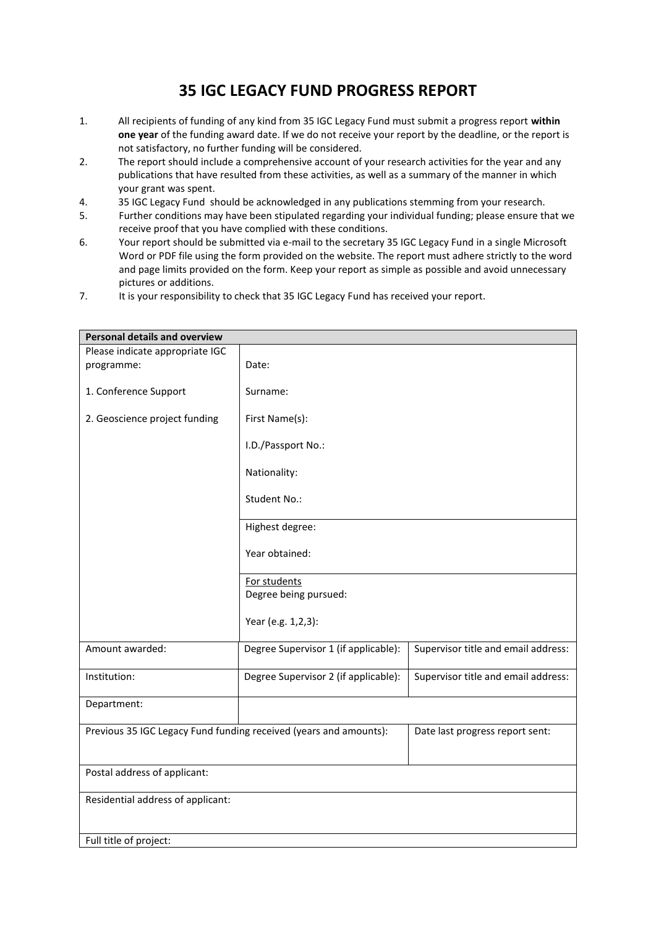## **35 IGC LEGACY FUND PROGRESS REPORT**

- 1. All recipients of funding of any kind from 35 IGC Legacy Fund must submit a progress report **within one year** of the funding award date. If we do not receive your report by the deadline, or the report is not satisfactory, no further funding will be considered.
- 2. The report should include a comprehensive account of your research activities for the year and any publications that have resulted from these activities, as well as a summary of the manner in which your grant was spent.
- 4. 35 IGC Legacy Fund should be acknowledged in any publications stemming from your research.
- 5. Further conditions may have been stipulated regarding your individual funding; please ensure that we receive proof that you have complied with these conditions.
- 6. Your report should be submitted via e-mail to the secretary 35 IGC Legacy Fund in a single Microsoft Word or PDF file using the form provided on the website. The report must adhere strictly to the word and page limits provided on the form. Keep your report as simple as possible and avoid unnecessary pictures or additions.
- 7. It is your responsibility to check that 35 IGC Legacy Fund has received your report.

| <b>Personal details and overview</b>                              |                                      |                                     |  |  |
|-------------------------------------------------------------------|--------------------------------------|-------------------------------------|--|--|
| Please indicate appropriate IGC                                   |                                      |                                     |  |  |
| programme:                                                        | Date:                                |                                     |  |  |
| 1. Conference Support                                             | Surname:                             |                                     |  |  |
| 2. Geoscience project funding                                     | First Name(s):                       |                                     |  |  |
|                                                                   | I.D./Passport No.:                   |                                     |  |  |
|                                                                   | Nationality:                         |                                     |  |  |
|                                                                   | Student No.:                         |                                     |  |  |
|                                                                   | Highest degree:                      |                                     |  |  |
|                                                                   | Year obtained:                       |                                     |  |  |
|                                                                   | For students                         |                                     |  |  |
|                                                                   | Degree being pursued:                |                                     |  |  |
|                                                                   |                                      |                                     |  |  |
|                                                                   | Year (e.g. 1,2,3):                   |                                     |  |  |
| Amount awarded:                                                   | Degree Supervisor 1 (if applicable): | Supervisor title and email address: |  |  |
| Institution:                                                      | Degree Supervisor 2 (if applicable): | Supervisor title and email address: |  |  |
| Department:                                                       |                                      |                                     |  |  |
| Previous 35 IGC Legacy Fund funding received (years and amounts): |                                      | Date last progress report sent:     |  |  |
| Postal address of applicant:                                      |                                      |                                     |  |  |
| Residential address of applicant:                                 |                                      |                                     |  |  |
|                                                                   |                                      |                                     |  |  |
| Full title of project:                                            |                                      |                                     |  |  |